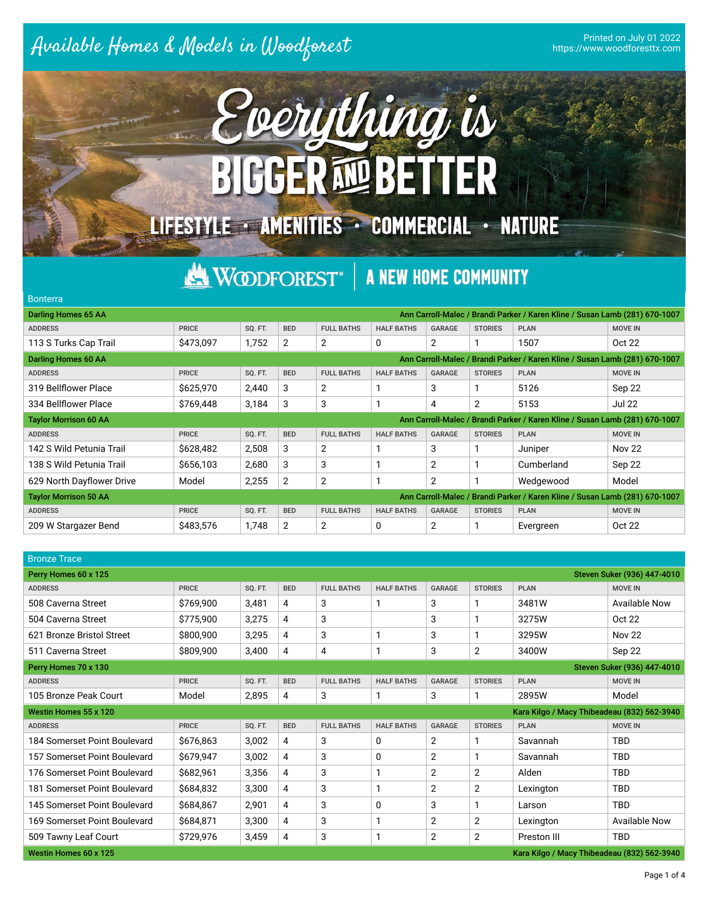## Printed on July 01 2022



## **KNODFOREST®** A NEW HOME COMMUNITY

## Bonterra Darling Homes 65 AA Ann Carroll-Malec / Brandi Parker / Karen Kline / Susan Lamb (281) 670-1007 ADDRESS PRICE SQ. FT. BED FULL BATHS HALF BATHS GARAGE STORIES PLAN MOVE IN MOVE IN 113 S Turks Cap Trail \$473,097 1,752 2 2 0 2 1 1507 Oct 22 Darling Homes 60 AA Ann Carroll-Malec / Brandi Parker / Karen Kline / Susan Lamb (281) 670-1007 ADDRESS PRICE SQ. FT. BED FULL BATHS HALF BATHS GARAGE STORIES PLAN MOVE IN MOVE IN 319 Bellfower Place \$625,970 2,440 3 2 1 3 1 5126 Sep 22 334 Bellflower Place 3769,448 3,184 3 3 1 4 2 5153 Jul 22 Taylor Morrison 60 AA Ann Carroll-Malec / Brandi Parker / Karen Kline / Susan Lamb (281) 670-1007 ADDRESS PRICE SQ. FT. BED FULL BATHS HALF BATHS GARAGE STORIES PLAN MOVE IN MOVE IN 142 S Wild Petunia Trail  $\begin{array}{|c|c|c|c|c|c|}\n\hline\n8628,482 & 2,508 & 3 & 2 & 1 & 3 & 1\n\end{array}$  Juniper Nov 22 138 S Wild Petunia Trail \$656,103 2,680 3 3 1 2 1 Cumberland Sep 22 629 North Dayflower Drive Model 2,255 2 2 1 2 1 Wedgewood Model Taylor Morrison 50 AA Ann Carroll-Malec / Brandi Parker / Karen Kline / Susan Lamb (281) 670-1007 ADDRESS PRICE SQ. FT. BED FULL BATHS HALF BATHS GARAGE STORIES PLAN MOVE IN MOVE IN 209 W Stargazer Bend \$483,576 1,748 2 2 0 2 1 Evergreen Oct 22

| <b>Bronze Trace</b>                                 |              |         |            |                   |                   |                |                |                                             |                             |  |  |
|-----------------------------------------------------|--------------|---------|------------|-------------------|-------------------|----------------|----------------|---------------------------------------------|-----------------------------|--|--|
| Perry Homes 60 x 125                                |              |         |            |                   |                   |                |                |                                             | Steven Suker (936) 447-4010 |  |  |
| <b>ADDRESS</b>                                      | <b>PRICE</b> | SQ. FT. | <b>BED</b> | <b>FULL BATHS</b> | <b>HALF BATHS</b> | <b>GARAGE</b>  | <b>STORIES</b> | <b>PLAN</b>                                 | <b>MOVE IN</b>              |  |  |
| 508 Caverna Street                                  | \$769,900    | 3,481   | 4          | 3                 |                   | 3              |                | 3481W                                       | <b>Available Now</b>        |  |  |
| 504 Caverna Street                                  | \$775,900    | 3,275   | 4          | 3                 |                   | 3              |                | 3275W                                       | Oct 22                      |  |  |
| 621 Bronze Bristol Street                           | \$800,900    | 3,295   | 4          | 3                 |                   | 3              |                | 3295W                                       | <b>Nov 22</b>               |  |  |
| 511 Caverna Street                                  | \$809,900    | 3,400   | 4          | 4                 |                   | 3              | $\overline{2}$ | 3400W                                       | Sep 22                      |  |  |
| Steven Suker (936) 447-4010<br>Perry Homes 70 x 130 |              |         |            |                   |                   |                |                |                                             |                             |  |  |
| <b>ADDRESS</b>                                      | <b>PRICE</b> | SQ. FT. | <b>BED</b> | <b>FULL BATHS</b> | <b>HALF BATHS</b> | <b>GARAGE</b>  | <b>STORIES</b> | <b>PLAN</b>                                 | <b>MOVE IN</b>              |  |  |
| 105 Bronze Peak Court                               | Model        | 2,895   | 4          | 3                 |                   | 3              |                | 2895W                                       | Model                       |  |  |
| Westin Homes 55 x 120                               |              |         |            |                   |                   |                |                | Kara Kilgo / Macy Thibeadeau (832) 562-3940 |                             |  |  |
| <b>ADDRESS</b>                                      | <b>PRICE</b> | SQ. FT. | <b>BED</b> | <b>FULL BATHS</b> | <b>HALF BATHS</b> | <b>GARAGE</b>  | <b>STORIES</b> | <b>PLAN</b>                                 | <b>MOVE IN</b>              |  |  |
| 184 Somerset Point Boulevard                        | \$676,863    | 3,002   | 4          | 3                 | 0                 | $\overline{2}$ |                | Savannah                                    | <b>TBD</b>                  |  |  |
| 157 Somerset Point Boulevard                        | \$679,947    | 3,002   | 4          | 3                 | 0                 | $\overline{2}$ |                | Savannah                                    | <b>TBD</b>                  |  |  |
| 176 Somerset Point Boulevard                        | \$682,961    | 3,356   | 4          | 3                 |                   | $\overline{2}$ | $\overline{2}$ | Alden                                       | <b>TBD</b>                  |  |  |
| 181 Somerset Point Boulevard                        | \$684,832    | 3,300   | 4          | 3                 |                   | $\overline{2}$ | $\overline{2}$ | Lexington                                   | <b>TBD</b>                  |  |  |
| 145 Somerset Point Boulevard                        | \$684,867    | 2,901   | 4          | 3                 | 0                 | 3              |                | Larson                                      | <b>TBD</b>                  |  |  |
| 169 Somerset Point Boulevard                        | \$684,871    | 3,300   | 4          | 3                 |                   | $\overline{2}$ | $\overline{2}$ | Lexington                                   | <b>Available Now</b>        |  |  |
| 509 Tawny Leaf Court                                | \$729,976    | 3,459   | 4          | 3                 |                   | $\overline{2}$ | $\overline{2}$ | Preston III                                 | <b>TBD</b>                  |  |  |
| Westin Homes 60 x 125                               |              |         |            |                   |                   |                |                | Kara Kilgo / Macy Thibeadeau (832) 562-3940 |                             |  |  |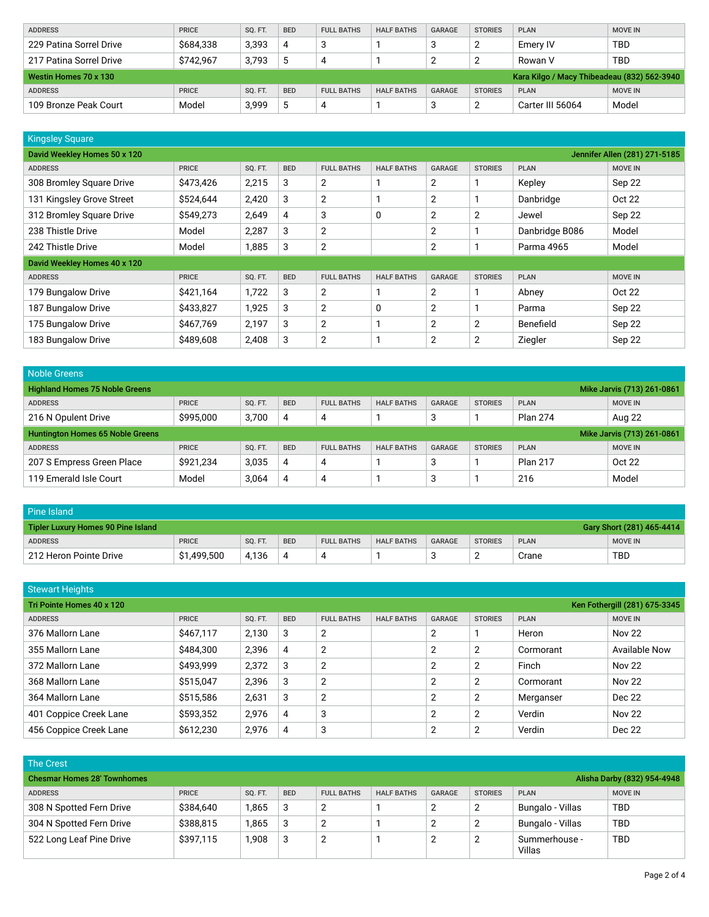| <b>ADDRESS</b>                                                       | PRICE        | <b>SO. FT.</b> | <b>BED</b> | <b>FULL BATHS</b> | <b>HALF BATHS</b> | <b>GARAGE</b> | <b>STORIES</b> | <b>PLAN</b> | <b>MOVE IN</b> |  |  |
|----------------------------------------------------------------------|--------------|----------------|------------|-------------------|-------------------|---------------|----------------|-------------|----------------|--|--|
| 229 Patina Sorrel Drive                                              | \$684,338    | 3,393          | 4          |                   |                   | 3             |                | Emery IV    | <b>TBD</b>     |  |  |
| 217 Patina Sorrel Drive                                              | \$742.967    | 3.793          | 5          | 4                 |                   |               |                | Rowan V     | TBD            |  |  |
| Kara Kilgo / Macy Thibeadeau (832) 562-3940<br>Westin Homes 70 x 130 |              |                |            |                   |                   |               |                |             |                |  |  |
|                                                                      |              |                |            |                   |                   |               |                |             |                |  |  |
| <b>ADDRESS</b>                                                       | <b>PRICE</b> | <b>SO. FT.</b> | <b>BED</b> | <b>FULL BATHS</b> | <b>HALF BATHS</b> | <b>GARAGE</b> | <b>STORIES</b> | <b>PLAN</b> | <b>MOVE IN</b> |  |  |

| <b>Kingsley Square</b>                                        |              |         |            |                   |                   |                |                |                |                |  |  |  |
|---------------------------------------------------------------|--------------|---------|------------|-------------------|-------------------|----------------|----------------|----------------|----------------|--|--|--|
| David Weekley Homes 50 x 120<br>Jennifer Allen (281) 271-5185 |              |         |            |                   |                   |                |                |                |                |  |  |  |
| <b>ADDRESS</b>                                                | <b>PRICE</b> | SQ. FT. | <b>BED</b> | <b>FULL BATHS</b> | <b>HALF BATHS</b> | <b>GARAGE</b>  | <b>STORIES</b> | <b>PLAN</b>    | <b>MOVE IN</b> |  |  |  |
| 308 Bromley Square Drive                                      | \$473,426    | 2,215   | 3          | $\overline{2}$    |                   | 2              |                | Kepley         | Sep 22         |  |  |  |
| 131 Kingsley Grove Street                                     | \$524,644    | 2,420   | 3          | $\overline{2}$    |                   | $\overline{2}$ |                | Danbridge      | <b>Oct 22</b>  |  |  |  |
| 312 Bromley Square Drive                                      | \$549,273    | 2,649   | 4          | 3                 | 0                 | $\overline{2}$ | 2              | Jewel          | Sep 22         |  |  |  |
| 238 Thistle Drive                                             | Model        | 2,287   | 3          | 2                 |                   | $\overline{2}$ |                | Danbridge B086 | Model          |  |  |  |
| 242 Thistle Drive                                             | Model        | 1,885   | 3          | 2                 |                   | $\overline{2}$ |                | Parma 4965     | Model          |  |  |  |
| David Weekley Homes 40 x 120                                  |              |         |            |                   |                   |                |                |                |                |  |  |  |
| <b>ADDRESS</b>                                                | <b>PRICE</b> | SQ. FT. | <b>BED</b> | <b>FULL BATHS</b> | <b>HALF BATHS</b> | <b>GARAGE</b>  | <b>STORIES</b> | <b>PLAN</b>    | <b>MOVE IN</b> |  |  |  |
| 179 Bungalow Drive                                            | \$421,164    | 1,722   | 3          | $\overline{2}$    |                   | 2              |                | Abney          | Oct 22         |  |  |  |
| 187 Bungalow Drive                                            | \$433,827    | 1,925   | 3          | $\overline{2}$    | 0                 | $\overline{2}$ |                | Parma          | Sep 22         |  |  |  |
| 175 Bungalow Drive                                            | \$467,769    | 2,197   | 3          | $\overline{2}$    |                   | 2              | 2              | Benefield      | Sep 22         |  |  |  |
| 183 Bungalow Drive                                            | \$489,608    | 2,408   | 3          | $\overline{2}$    |                   | 2              | 2              | Ziegler        | Sep 22         |  |  |  |

| Noble Greens                                                        |              |                |            |                   |                   |               |                |                 |                            |  |
|---------------------------------------------------------------------|--------------|----------------|------------|-------------------|-------------------|---------------|----------------|-----------------|----------------------------|--|
| <b>Highland Homes 75 Noble Greens</b><br>Mike Jarvis (713) 261-0861 |              |                |            |                   |                   |               |                |                 |                            |  |
| <b>ADDRESS</b>                                                      | <b>PRICE</b> | SQ. FT.        | <b>BED</b> | <b>FULL BATHS</b> | <b>HALF BATHS</b> | GARAGE        | <b>STORIES</b> | <b>PLAN</b>     | <b>MOVE IN</b>             |  |
| 216 N Opulent Drive                                                 | \$995,000    | 3,700          | 4          | 4                 |                   | 3             |                | <b>Plan 274</b> | Aug 22                     |  |
| <b>Huntington Homes 65 Noble Greens</b>                             |              |                |            |                   |                   |               |                |                 | Mike Jarvis (713) 261-0861 |  |
| <b>ADDRESS</b>                                                      | <b>PRICE</b> | <b>SO. FT.</b> | <b>BED</b> |                   |                   |               |                |                 |                            |  |
|                                                                     |              |                |            | <b>FULL BATHS</b> | <b>HALF BATHS</b> | <b>GARAGE</b> | <b>STORIES</b> | <b>PLAN</b>     | <b>MOVE IN</b>             |  |
| 207 S Empress Green Place                                           | \$921,234    | 3,035          | 4          | 4                 |                   | 3             |                | <b>Plan 217</b> | Oct 22                     |  |

| Pine Island                                                     |              |                |            |                   |                   |               |                |             |                |
|-----------------------------------------------------------------|--------------|----------------|------------|-------------------|-------------------|---------------|----------------|-------------|----------------|
| Gary Short (281) 465-4414<br>Tipler Luxury Homes 90 Pine Island |              |                |            |                   |                   |               |                |             |                |
| <b>ADDRESS</b>                                                  | <b>PRICE</b> | <b>SO. FT.</b> | <b>BED</b> | <b>FULL BATHS</b> | <b>HALF BATHS</b> | <b>GARAGE</b> | <b>STORIES</b> | <b>PLAN</b> | <b>MOVE IN</b> |
| 212 Heron Pointe Drive                                          | \$1,499,500  | 4.136          | 4          |                   |                   | u             | <u>_</u>       | Crane       | TBD            |

| <b>Stewart Heights</b>                                     |              |         |                |                   |                   |                |                |             |                      |  |  |
|------------------------------------------------------------|--------------|---------|----------------|-------------------|-------------------|----------------|----------------|-------------|----------------------|--|--|
| Tri Pointe Homes 40 x 120<br>Ken Fothergill (281) 675-3345 |              |         |                |                   |                   |                |                |             |                      |  |  |
| <b>ADDRESS</b>                                             | <b>PRICE</b> | SQ. FT. | <b>BED</b>     | <b>FULL BATHS</b> | <b>HALF BATHS</b> | GARAGE         | <b>STORIES</b> | <b>PLAN</b> | <b>MOVE IN</b>       |  |  |
| 376 Mallorn Lane                                           | \$467,117    | 2,130   | 3              | 2                 |                   | 2              |                | Heron       | <b>Nov 22</b>        |  |  |
| 355 Mallorn Lane                                           | \$484,300    | 2,396   | 4              | 2                 |                   | $\overline{2}$ | 2              | Cormorant   | <b>Available Now</b> |  |  |
| 372 Mallorn Lane                                           | \$493,999    | 2,372   | 3              | 2                 |                   | 2              | 2              | Finch       | <b>Nov 22</b>        |  |  |
| 368 Mallorn Lane                                           | \$515,047    | 2,396   | 3              | 2                 |                   | 2              | 2              | Cormorant   | <b>Nov 22</b>        |  |  |
| 364 Mallorn Lane                                           | \$515,586    | 2,631   | 3              | 2                 |                   | 2              | 2              | Merganser   | Dec 22               |  |  |
| 401 Coppice Creek Lane                                     | \$593,352    | 2.976   | $\overline{4}$ | 3                 |                   | 2              | 2              | Verdin      | <b>Nov 22</b>        |  |  |
| 456 Coppice Creek Lane                                     | \$612,230    | 2,976   | 4              | 3                 |                   | 2              | C              | Verdin      | Dec 22               |  |  |

| <b>The Crest</b>                                                  |              |                |            |                   |                   |               |                |                         |                |  |  |
|-------------------------------------------------------------------|--------------|----------------|------------|-------------------|-------------------|---------------|----------------|-------------------------|----------------|--|--|
| Alisha Darby (832) 954-4948<br><b>Chesmar Homes 28' Townhomes</b> |              |                |            |                   |                   |               |                |                         |                |  |  |
| <b>ADDRESS</b>                                                    | <b>PRICE</b> | <b>SO. FT.</b> | <b>BED</b> | <b>FULL BATHS</b> | <b>HALF BATHS</b> | <b>GARAGE</b> | <b>STORIES</b> | <b>PLAN</b>             | <b>MOVE IN</b> |  |  |
| 308 N Spotted Fern Drive                                          | \$384,640    | 1,865          | 3          | ົ                 |                   |               | ◠              | Bungalo - Villas        | TBD            |  |  |
| 304 N Spotted Fern Drive                                          | \$388,815    | 1,865          | 3          | ົ                 |                   | ⌒             | ◠              | Bungalo - Villas        | TBD            |  |  |
| 522 Long Leaf Pine Drive                                          | \$397,115    | 1,908          | 3          | າ                 |                   |               | ◠              | Summerhouse -<br>Villas | TBD            |  |  |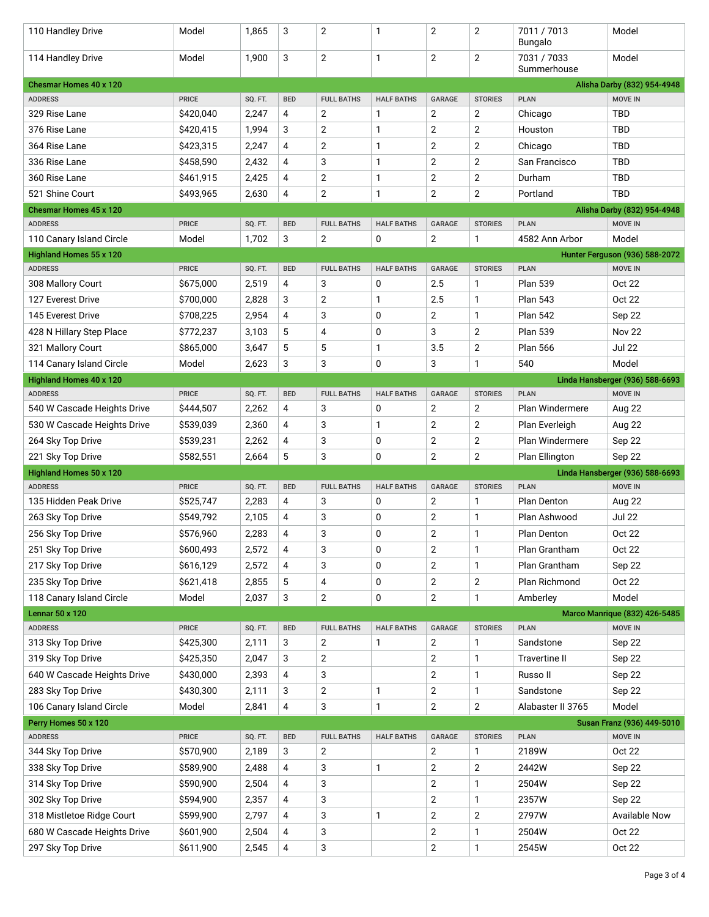| 110 Handley Drive                 | Model        | 1,865   | 3          | $\overline{2}$    | 1                 | 2              | $\overline{2}$   | 7011 / 7013<br>Bungalo     | Model                                           |
|-----------------------------------|--------------|---------|------------|-------------------|-------------------|----------------|------------------|----------------------------|-------------------------------------------------|
| 114 Handley Drive                 | Model        | 1,900   | 3          | $\overline{2}$    | 1                 | $\overline{2}$ | $\mathbf 2$      | 7031 / 7033<br>Summerhouse | Model                                           |
| <b>Chesmar Homes 40 x 120</b>     |              |         |            |                   |                   |                |                  |                            | Alisha Darby (832) 954-4948                     |
| <b>ADDRESS</b>                    | <b>PRICE</b> | SQ. FT. | <b>BED</b> | <b>FULL BATHS</b> | <b>HALF BATHS</b> | <b>GARAGE</b>  | <b>STORIES</b>   | <b>PLAN</b>                | <b>MOVE IN</b>                                  |
| 329 Rise Lane                     | \$420,040    | 2,247   | 4          | 2                 | 1                 | 2              | $\overline{2}$   | Chicago                    | <b>TBD</b>                                      |
| 376 Rise Lane                     | \$420,415    | 1,994   | 3          | 2                 | 1                 | $\overline{2}$ | $\overline{2}$   | Houston                    | <b>TBD</b>                                      |
| 364 Rise Lane                     | \$423,315    | 2,247   | 4          | 2                 | 1                 | 2              | $\overline{2}$   | Chicago                    | <b>TBD</b>                                      |
| 336 Rise Lane                     | \$458,590    | 2,432   | 4          | 3                 | 1                 | $\overline{2}$ | $\overline{2}$   | San Francisco              | <b>TBD</b>                                      |
| 360 Rise Lane                     | \$461,915    | 2,425   | 4          | 2                 | 1                 | $\overline{2}$ | $\overline{2}$   | Durham                     | <b>TBD</b>                                      |
| 521 Shine Court                   | \$493,965    | 2,630   | 4          | 2                 | 1                 | $\overline{2}$ | $\overline{2}$   | Portland                   | <b>TBD</b>                                      |
| <b>Chesmar Homes 45 x 120</b>     |              |         |            |                   |                   |                |                  |                            | Alisha Darby (832) 954-4948                     |
| <b>ADDRESS</b>                    | <b>PRICE</b> | SQ. FT. | <b>BED</b> | <b>FULL BATHS</b> | <b>HALF BATHS</b> | <b>GARAGE</b>  | <b>STORIES</b>   | <b>PLAN</b>                | <b>MOVE IN</b>                                  |
| 110 Canary Island Circle          | Model        | 1,702   | 3          | $\overline{2}$    | 0                 | 2              | 1                | 4582 Ann Arbor             | Model                                           |
| Highland Homes 55 x 120           |              |         |            |                   |                   |                |                  |                            | Hunter Ferguson (936) 588-2072                  |
| <b>ADDRESS</b>                    | <b>PRICE</b> | SQ. FT. | <b>BED</b> | <b>FULL BATHS</b> | <b>HALF BATHS</b> | <b>GARAGE</b>  | <b>STORIES</b>   | <b>PLAN</b>                | <b>MOVE IN</b>                                  |
| 308 Mallory Court                 | \$675,000    | 2,519   | 4          | 3                 | 0                 | 2.5            | $\mathbf{1}$     | <b>Plan 539</b>            | Oct 22                                          |
| 127 Everest Drive                 | \$700,000    | 2,828   | 3          | 2                 | 1                 | 2.5            | $\mathbf{1}$     | <b>Plan 543</b>            | Oct 22                                          |
| 145 Everest Drive                 | \$708,225    | 2,954   | 4          | 3                 | 0                 | $\overline{2}$ | $\mathbf{1}$     | <b>Plan 542</b>            | Sep 22                                          |
| 428 N Hillary Step Place          | \$772,237    | 3,103   | 5          | 4                 | 0                 | 3              | $\overline{2}$   | <b>Plan 539</b>            | <b>Nov 22</b>                                   |
| 321 Mallory Court                 | \$865,000    | 3,647   | 5          | 5                 | 1                 | 3.5            | $\overline{2}$   | <b>Plan 566</b>            | <b>Jul 22</b>                                   |
| 114 Canary Island Circle          | Model        | 2,623   | 3          | 3                 | 0                 | 3              | $\mathbf{1}$     | 540                        | Model                                           |
| <b>Highland Homes 40 x 120</b>    |              |         |            |                   |                   |                |                  |                            | Linda Hansberger (936) 588-6693                 |
| <b>ADDRESS</b>                    | <b>PRICE</b> | SQ. FT. | <b>BED</b> | <b>FULL BATHS</b> | <b>HALF BATHS</b> | <b>GARAGE</b>  | <b>STORIES</b>   | <b>PLAN</b>                | <b>MOVE IN</b>                                  |
| 540 W Cascade Heights Drive       | \$444,507    | 2,262   | 4          | 3                 | 0                 | $\overline{2}$ | $\overline{2}$   | Plan Windermere            | Aug 22                                          |
| 530 W Cascade Heights Drive       | \$539,039    | 2,360   | 4          | 3                 | 1                 | $\overline{2}$ | 2                | Plan Everleigh             | Aug 22                                          |
| 264 Sky Top Drive                 | \$539,231    | 2,262   | 4          | 3                 | 0                 | $\overline{2}$ | $\boldsymbol{2}$ | Plan Windermere            | Sep 22                                          |
| 221 Sky Top Drive                 | \$582,551    | 2,664   | 5          | 3                 | 0                 | $\overline{2}$ | $\overline{2}$   | Plan Ellington             | Sep 22                                          |
| <b>Highland Homes 50 x 120</b>    |              |         |            |                   |                   |                |                  |                            | Linda Hansberger (936) 588-6693                 |
| <b>ADDRESS</b>                    | <b>PRICE</b> | SQ. FT. | <b>BED</b> | <b>FULL BATHS</b> | <b>HALF BATHS</b> | <b>GARAGE</b>  | <b>STORIES</b>   | <b>PLAN</b>                | <b>MOVE IN</b>                                  |
| 135 Hidden Peak Drive             | \$525,747    | 2,283   | 4          | 3                 | 0                 | $\overline{2}$ | $\mathbf{1}$     | Plan Denton                | Aug 22                                          |
| 263 Sky Top Drive                 | \$549,792    | 2,105   | 4          | 3                 | 0                 | $\overline{2}$ | $\mathbf{1}$     | Plan Ashwood               | Jul 22                                          |
| 256 Sky Top Drive                 | \$576,960    | 2,283   | 4          | 3                 | 0                 | 2              | 1                | <b>Plan Denton</b>         | Oct 22                                          |
| 251 Sky Top Drive                 | \$600,493    | 2,572   | 4          | 3                 | 0                 | $\mathbf{2}$   | 1                | Plan Grantham              | Oct 22                                          |
|                                   | \$616,129    | 2,572   | 4          | 3                 | 0                 | $\mathbf{2}$   | $\mathbf{1}$     | Plan Grantham              |                                                 |
| 217 Sky Top Drive                 |              |         |            |                   |                   |                |                  |                            | Sep 22                                          |
| 235 Sky Top Drive                 | \$621,418    | 2,855   | 5          | 4                 | 0                 | $\mathbf{2}$   | $\mathbf{2}$     | Plan Richmond              | <b>Oct 22</b>                                   |
| 118 Canary Island Circle          | Model        | 2,037   | 3          | $\mathbf{2}$      | 0                 | $\mathbf{2}$   | $\mathbf{1}$     | Amberley                   | Model                                           |
| Lennar 50 x 120<br><b>ADDRESS</b> | <b>PRICE</b> | SQ. FT. | <b>BED</b> | <b>FULL BATHS</b> | <b>HALF BATHS</b> | GARAGE         | <b>STORIES</b>   | <b>PLAN</b>                | <b>Marco Manrique (832) 426-5485</b><br>MOVE IN |
| 313 Sky Top Drive                 | \$425,300    | 2,111   | 3          | 2                 | 1                 | 2              | $\mathbf{1}$     | Sandstone                  | Sep 22                                          |
| 319 Sky Top Drive                 | \$425,350    | 2,047   | 3          | 2                 |                   | $\overline{2}$ | $\mathbf{1}$     | <b>Travertine II</b>       |                                                 |
|                                   |              |         |            |                   |                   |                |                  |                            | Sep 22                                          |
| 640 W Cascade Heights Drive       | \$430,000    | 2,393   | 4          | 3                 |                   | $\overline{2}$ | $\mathbf{1}$     | Russo II                   | Sep 22                                          |
| 283 Sky Top Drive                 | \$430,300    | 2,111   | 3          | 2                 | 1                 | $\mathbf{2}$   | $\mathbf{1}$     | Sandstone                  | Sep 22                                          |
| 106 Canary Island Circle          | Model        | 2,841   | 4          | 3                 | 1                 | $\sqrt{2}$     | $\mathbf{2}$     | Alabaster II 3765          | Model                                           |
| Perry Homes 50 x 120              |              |         |            |                   |                   |                |                  |                            | Susan Franz (936) 449-5010                      |
| <b>ADDRESS</b>                    | <b>PRICE</b> | SQ. FT. | <b>BED</b> | <b>FULL BATHS</b> | <b>HALF BATHS</b> | GARAGE         | <b>STORIES</b>   | <b>PLAN</b>                | <b>MOVE IN</b>                                  |
| 344 Sky Top Drive                 | \$570,900    | 2,189   | 3          | $\overline{2}$    |                   | $\overline{2}$ | $\mathbf{1}$     | 2189W                      | <b>Oct 22</b>                                   |
| 338 Sky Top Drive                 | \$589,900    | 2,488   | 4          | 3                 | 1                 | 2              | 2                | 2442W                      | Sep 22                                          |
| 314 Sky Top Drive                 | \$590,900    | 2,504   | 4          | 3                 |                   | $\overline{2}$ | $\mathbf{1}$     | 2504W                      | Sep 22                                          |
| 302 Sky Top Drive                 | \$594,900    | 2,357   | 4          | 3                 |                   | $\overline{2}$ | $\mathbf{1}$     | 2357W                      | Sep 22                                          |
| 318 Mistletoe Ridge Court         | \$599,900    | 2,797   | 4          | 3                 | 1                 | $\mathbf{2}$   | $\overline{c}$   | 2797W                      | <b>Available Now</b>                            |
| 680 W Cascade Heights Drive       | \$601,900    | 2,504   | 4          | 3                 |                   | $\overline{2}$ | $\mathbf{1}$     | 2504W                      | <b>Oct 22</b>                                   |
| 297 Sky Top Drive                 | \$611,900    | 2,545   | 4          | 3                 |                   | $\mathbf{2}$   | $\mathbf{1}$     | 2545W                      | Oct 22                                          |